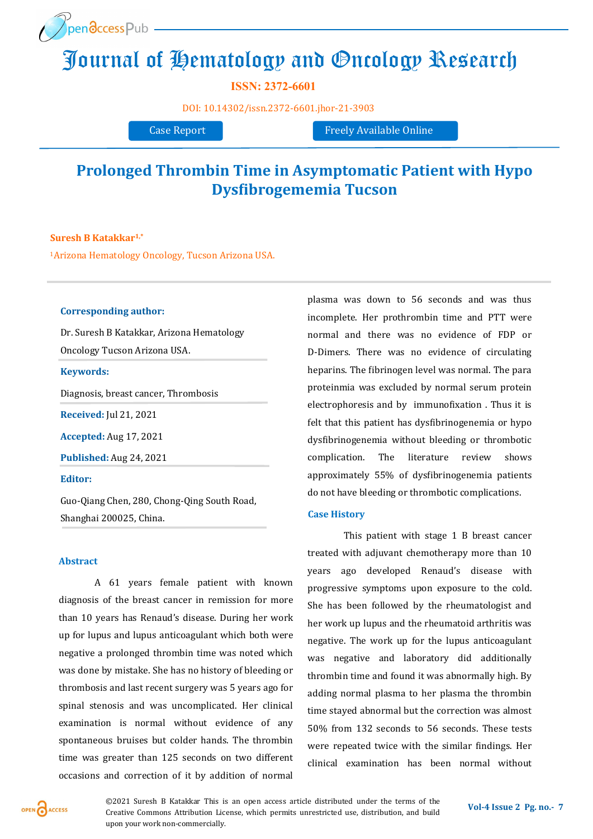

# [Journal o](http://www.openaccesspub.org/)f Hematology and Oncology Research

**ISSN: 2372-6601**

DOI: [10.14302/issn.2372](https://doi.org/10.14302/issn.2372-6601.jhor-21-3903)-6601.jhor-21-3903

Case Report Freely Available Online

# **Prolonged Thrombin Time in Asymptomatic Patient with Hypo Dysfibrogememia Tucson**

**Suresh B Katakkar1,\***

<sup>1</sup>Arizona Hematology Oncology, Tucson Arizona USA.

# **Corresponding author:**

Dr. Suresh B Katakkar, Arizona Hematology Oncology Tucson Arizona USA.

#### **Keywords:**

Diagnosis, breast cancer, Thrombosis

**Received:** Jul 21, 2021

**Accepted:** Aug 17, 2021

**Published:** Aug 24, 2021

**Editor:** 

Guo-Qiang Chen, 280, Chong-Qing South Road, Shanghai 200025, China.

# **Abstract**

A 61 years female patient with known diagnosis of the breast cancer in remission for more than 10 years has Renaud's disease. During her work up for lupus and lupus anticoagulant which both were negative a prolonged thrombin time was noted which was done by mistake. She has no history of bleeding or thrombosis and last recent surgery was 5 years ago for spinal stenosis and was uncomplicated. Her clinical examination is normal without evidence of any spontaneous bruises but colder hands. The thrombin time was greater than 125 seconds on two different occasions and correction of it by addition of normal

plasma was down to 56 seconds and was thus incomplete. Her prothrombin time and PTT were normal and there was no evidence of FDP or D-Dimers. There was no evidence of circulating heparins. The fibrinogen level was normal. The para proteinmia was excluded by normal serum protein electrophoresis and by immunofixation . Thus it is felt that this patient has dysfibrinogenemia or hypo dysfibrinogenemia without bleeding or thrombotic complication. The literature review shows approximately 55% of dysfibrinogenemia patients do not have bleeding or thrombotic complications.

# **Case History**

This patient with stage 1 B breast cancer treated with adjuvant chemotherapy more than 10 years ago developed Renaud's disease with progressive symptoms upon exposure to the cold. She has been followed by the rheumatologist and her work up lupus and the rheumatoid arthritis was negative. The work up for the lupus anticoagulant was negative and laboratory did additionally thrombin time and found it was abnormally high. By adding normal plasma to her plasma the thrombin time stayed abnormal but the correction was almost 50% from 132 seconds to 56 seconds. These tests were repeated twice with the similar findings. Her clinical examination has been normal without